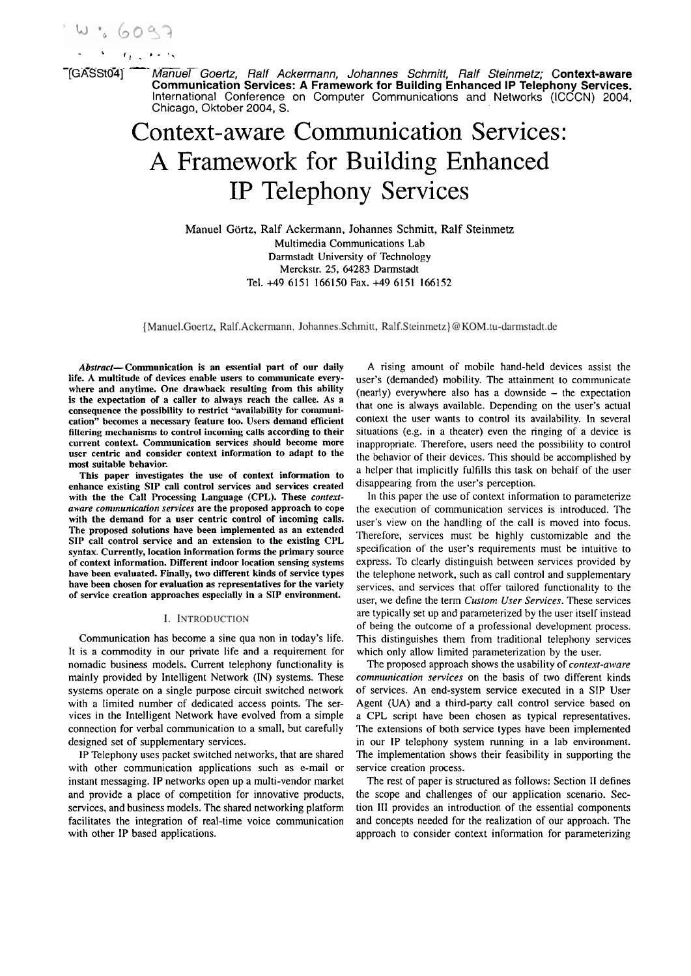- **<sup>b</sup>***I,.* .- '.,

<sup>T</sup>(GASSt04) Manuel Goertz, Ralf Ackermann, Johannes Schmitt, Ralf Steinmetz; Context-aware **Communication Services: A Framework for Building Enhanced IP Telephony Services.**  International Conference on Computer Communications and Networks (ICCCN) 2004, Chicago, Oktober 2004, S.

# Context-aware Communication Services: **A** Framework for Building Enhanced IP Telephony Services

Manuel **Görtz,** Ralf Ackermann, Johannes Schmitt, Ralf Steinmetz Multimedia Communications Lab Darmstadt University of Technology Merckstr. 25, 64283 Darmstadt Tel. +49 6151 166150 Fax. +49 6151 166152

{Manuel.Goertz, Ralf.Ackermann, Johannes.Schmitt, Ralf.Steinmetz}@KOM.tu-darmstadt.de

Abstract-Communication **is** an essential part of our daily life. A multitude of devices enable users to communicate everywhere and anytime. One drawback resulting from this ahility is the expectation of a caller to always reach the callee. As a consequence the possibility to restrict "availability for communication" becomes a necessary feature too. Users demand efficient filtering mechanisms to control incoming calls according to their current context. Communication services should become more User centric and consider context information to adapt to the most suitable behavior.

This paper investigates the use of context information to enhance existing SIP call control services and services created with the the **CaU** Processing Language (CPL). These contexlaware *corninunicaiion* services are the proposed approach to cope with the demand for a user centric control of incoming calls. The proposed solutions have been implemented as an extended SIP call control sewice and an extension to the existing CPL syntax. Currently, location information forms the primary source of context information. Different indoor location sensing systems have been evaluated. Finally, two different kinds of service types have been chosen for evaluation as representatives for the variety of service creation approaches especially in a SIP environment.

#### I. INTRODUCTION

Communication has become a sine qua non in today's life. It is a commodity in our private life and a requirement for nomadic business models. Current telephony functionality is mainly provided by Intelligent Network (IN) systems. These systems operate on a single purpose circuit switched network with a limited number of dedicated access points. The services in the Intelligent Network have evolved from a simple connection for verbal communication to a small, but carefully designed set of supplementary services.

IP Telephony uses packet switched networks, that are shared with other communication applications such as e-mail or instant messaging. IP networks open up a multi-vendor market and provide a place of competition for innovative products, services, and business models. The shared networking platform facilitates the integration of real-time voice communication with other IP based applications.

A rising amount of mobile hand-held devices assist the user's (demanded) mobility. The attainment to communicate (nearly) everywhere also has a downside - the expectation that one is always available. Depending on the user's actual context the user wants to control its availability. In several situations (e.g. in a theater) even the ringing of a device is inappropriate. Therefore, users need the possibility to control the behavior of their devices. This should be accomplished by a helper that implicitly fulfills this task on behalf of the user disappearing from the user's perception.

In this paper the use of context information to parameterize the execution of communication services is introduced. The user's view on the handling of the call is moved into focus. Therefore, services must be highly customizable and the specification of the user's requirements must be intuitive to express. To clearly distinguish between services provided by the telephone network, such as call control and supplernentary services, and services that offer tailored functionality to the user, we define the term Custom User Services. These services are typically set up and parameterized by the user itself instead of being the outcome of a professional developrnent process. This distinguishes them from traditional telephony services which only allow limited parameterization by the user.

The proposed approach shows the usability of *context-aware* communication services on the basis of two different kinds of services. An end-system sewice executed in a SIP User Agent (UA) and a third-party call control service based on a CPL script have been chosen as typical representatives. The extensions of both service types have been implemented in our IP telephony system running in a lab environment. The implementation shows their feasibility in supporting the service creation process.

The rest of paper is structured as follows: Section II defines the scope and challenges of our application scenario. Section 111 provides an introduction of the essential components and concepts needed for the realization of our approach. The approach to consider context information for parameterizing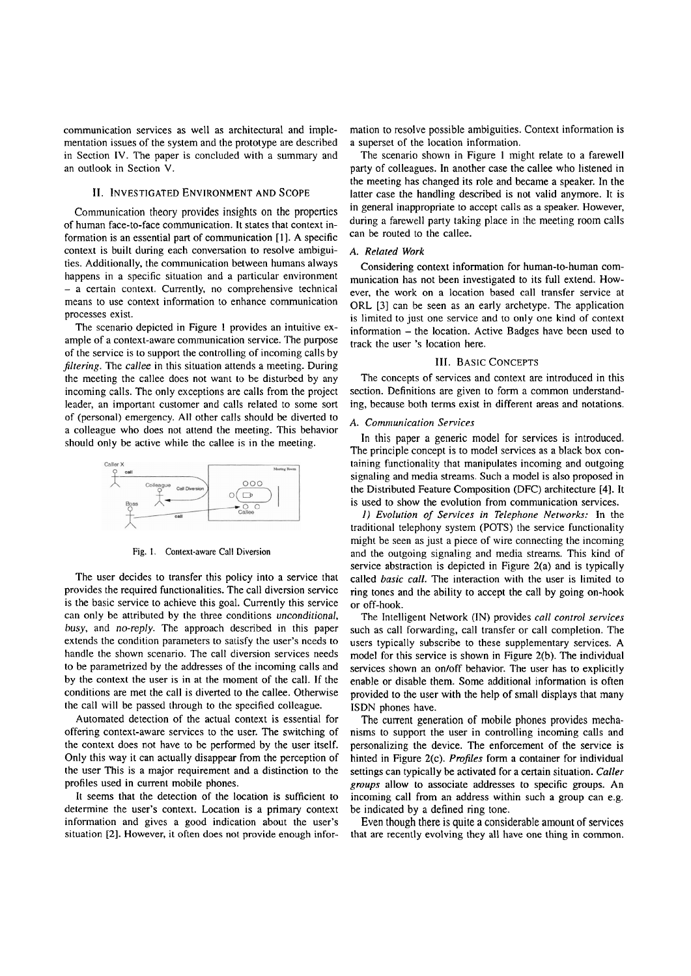communication services as well as architectural and implementation issues of the system and the prototype are described in Section IV. The paper is concluded with a Summary and an outlook in Section V.

# **11.** INVESTIGATED ENVIRONMENT AND SCOPE

Communication theory provides insights on the properties of human face-to-face communication. It states that context information is an essential part of communication [1]. A specific context is built during each conversation to resolve ambiguities. Additionally, the communication between humans always happens in a specific situation and a particular environment - a certain context. Currently, no comprehensive technical means to use context information to enhance communication processes exist.

The scenario depicted in Figure 1 provides an intuitive example of a context-aware communication service. The purpose of the servicc is to support the controlling of incoming calls by *filtering*. The *callee* in this situation attends a meeting. During the meeting the callee does not want to be disturbed by any incoming calls. The only exceptions are calls from the project leader, an important customer and calls related to some sort of (personal) emergency. All other calls should be diverted to a colleague who does not attend the meeting. This behavior should only be active while the callee is in the meeting.



Fig. 1. Context-aware Call Diversion

The user decides to transfer this policy into a service that provides the required functionalities. The call diversion service is the basic service to achieve this goal. Currently this service can only be attributed by the three conditions unconditional, **busy,** and no-reply. The approach described in this paper extends the condition parameters to satisfy the user's needs to handle the shown scenario. The call diversion services needs to be parametrized by the addresses of the incoming calls and by the context the user is in at the mornent of the call. If the conditions are met the call is diverted to the callee. Othenvise the call will be passed through to the specified colleague.

Automated detection of the actual context is essential for offering context-aware services to the user. The switching of the context does not have to be performed by the User itself. Only this way it can actually disappear from the perception of the user This is a major requirement and a distinction to the profiles used in current mobile phones.

It seems that the detection of the location is sufficient to determine the user's context. Location is a primary context information and gives a good indication about the user's situation [2]. However, it often does not provide enough infor-

mation to resolve possible ambiguities. Context information is a superset of the location inforrnation.

The scenario shown in Figure 1 might relate to a farewell party of colleagues. In another case the callee who listened in the meeting has changed its role and became a speaker. In the latter case the handling described is not valid anymore. It is in general inappropriate to acccpt calls as a speaker. However, during a farewell party taking place in the meeting room calls can be routed to the callee.

## *A. Relared Work*

Considering context information for human-to-human communication has not been investigated to its full extend. However, the work on a location based call transfer service at ORL [3] can be seen as an early archetype. The application is limited to just one service and to only one kind of context information - the location. Active Badges have been used to track the user 's location here.

#### 111. BASIC CONCEPTS

The concepts of sewices and context are introduced in this section. Definitions are given to form a common understanding, because both terrns exist in different areas and notations.

#### *A. Communication Services*

In this paper a generic model for services is introduced. The principle concept is to model services as a black box containing functionality that manipulates incoming and outgoing signaling and media streams. Such a model is also proposed in the Distributed Feature Composition (DFC) architecture **[4].** It is used to show the evolution from communication services.

I) *Evolution of Services in Telephone Nerworks:* In the traditional telephony system (POTS) the service functionality might be seen as just a piece of wire connecting the incoming and the outgoing signaling and media streams. This kind of service abstraction is depicted in Figure 2(a) and is typically called *basic call.* The interaction with the user is limited to ring tones and the ability to accept the call by going on-hook or off-hook.

The Intelligent Network (IN) provides *call conrrol services*  such as call forwarding, call transfer or call completion. The users typically subscribe to these supplementary services. A model for this service is shown in Figure 2(b). The individual services shown an on/off behavior. The user has to explicitly enable or disable them. Some additional information is often provided to the user with the help of small displays that many ISDN phones have.

The current generation of mobile phones provides mechanisms to support the user in controlling incoming calls and personalizing the device. The enforcement of the service is hinted in Figure 2(c). *Profiles* form a container for individual Settings can typically be activated for a certain situation. *Caller groups* allow to associate addresses to specific groups. An incoming call from an address within such a group can e.g. be indicated by a defined ring tone.

Even though there is quite a considerable amount of services that are recently evolving they all have one thing in common.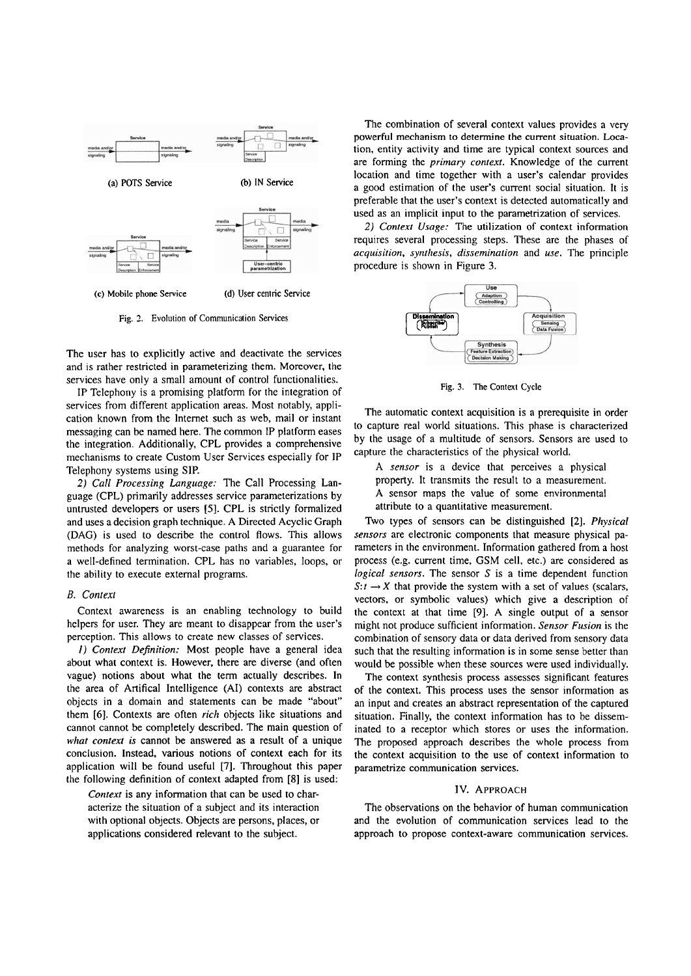

**Fig. 2. Evolution of Communicaiion Services** 

The user has to explicitly active and deactivate the services and is rather restricted in parameterizing them. Moreover, the services have only a small amount of control functionalities.

IP Telephony is a promising platform for the integration of services from different application areas. Most notably, application known from the lnternet such as web, mail or instant messaging can be named here. The common IP platform eases the integration. Additionally, CPL provides a comprehensive mechanisms to create Custom User Services especially for IP Telephony Systems using SIP.

*2) Ca11 Processing Language:* The Call Processing Language (CPL) primarily addresses service parameterizations by untrusted developers or users [5]. CPL is strictly formalized and uses a decision graph technique. A Directed Acyclic Graph (DAG) is used to descnbe the control flows. This allows methods for analyzing worst-case paths and a guarantee for a well-defined termination. CPL has no variables, loops, or the ability to execute external programs.

#### *B. Context*

Context awareness is an enabling technology to build helpers for user. They are meant to disappear from the user's perception. This allows to create new classes of services.

I) *Context DeJinition:* Most people have a general idea about what context is. However, there are diverse (and often vague) notions about what the term actually describes. In the area of Artifical Intelligence (AI) contexts are abstract objects in a domain and Statements can be made "about" them *[6].* Contexts are often *rich* objects like situations and cannot cannot be completely described. The main question of *whar context is* cannot be answered as a result of a unique conclusion. Instead, various notions of context each for its application will be found useful [7]. Throughout this paper the following definition of context adapted from [8] is used:

*Context* is any information that can be used to characterize the situation of a subject and its interaction with optional objects. Objects are persons, places, or applications considered relevant to the subject.

The combination of several context values provides a very powerful mechanism to determine the current situation. Location, entity activity and time are typical context sources and are forming the *primary context*. Knowledge of the current location and time together with a user's calendar provides a good estimation of the user's current social situation. It is preferable that the user's context is detected automatically and used as an implicit input to the parametrization of services.

2) *Context Usage:* The utilization of context information requires several processing steps. These are the phases of *acquisition, synthesis, dissemination and use.* The principle procedure is shown in Figure 3.



**Fig. 3. The Context Cycle** 

The automatic context acquisition is a prerequisite in order to capture real world situations. This phase is characterized by the usage of a multitude of sensors. Sensors are used to capture the characteristics of the physical world.

*A sensor* is a device that perceives a physical property. It transmits the result to a measurement. A sensor maps the value of some environmental attribute to a quantitative measurement.

Two types of sensors can be distinguished **[2].** *Physical sensors* are electronic components that measure physical parameters in the environment. Information gathered from a host process (e.g. current time, GSM cell, etc.) are considered as *logical sensors.* The sensor *S* is a time dependent function  $S: t \rightarrow X$  that provide the system with a set of values (scalars, vectors, or symbolic values) which give a description of the context at that time **[9]. A** single output of a sensor might not produce sufficient information. *Sensor Fusion* is the combination of sensory data or data derived from sensory data such that the resulting information is in some sense better than would be possible when these sources were used individually.

The context synthesis process assesses significant features of the context. This process uses the sensor information as an input and creates an abstract representation of the captured situation. Finally, the context information has to be disseminated to a receptor which stores or uses the information. The proposed approach describes the whole process fiom the context acquisition to the use of context information to parametrize communication services.

# **IV. APPROACH**

The observations on the behavior of human communication and the evolution of communication services lead to the approach to propose context-aware communication services.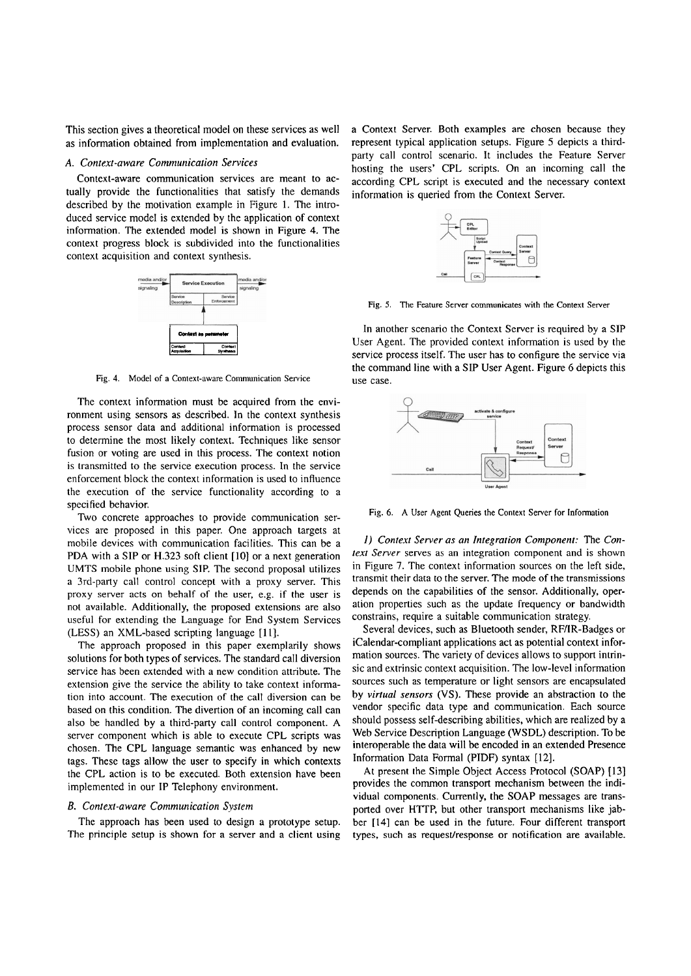This section gives a theoretical model on these services as well as information obtained from implementation and evaluation.

# *A. Context-aware Communication Services*

Context-aware communication services are meant to actually provide the functionalities that satisfy the demands described by the motivation example in Figure 1. The introduced service model is extended by the application of context information. The extended model is shown in Figure 4. The context progress block is subdivided into the functionalities context acquisition and context synthesis.



**Fig. 4. Model of a Coniext-aware Communicaiion Service** 

The context information must be acquired from the environment using sensors as described. In the context synthesis process sensor data and additional information is processed to determine the most likely context. Techniques like sensor fusion or voting are used in this process. The context notion is transmitted to the service execution process. In the service enforcement block the context information is used to influence the execution of the service functionality according to a specified behavior.

Two concrete approaches to provide communication services are proposed in this paper. One approach targets at mobile devices with communication facilities. This can be a PDA with a SIP or H.323 soft client [10] or a next generation UMTS mobile phone using SIP. The second proposal utilizes a 3rd-party call control concept with a proxy server. This proxy server acts on behalf of the User, e.g. if the User is not available. Additionally, ihe proposed extensions are also useful for extending the Language for End System Services (LESS) an XML-based scripting language [l I].

The approach proposed in this paper exemplarily shows solutions for both types of services. The standard call diversion service has been extended with a new condition attribute. The extension give the service the ability to take context information into account. The execution of the call diversion can be based on this condition. The divertion of an incoming call can also be handled by a third-party call control component. A server component which is able to execute CPL scripts was chosen. The CPL language semantic was enhanced by new tags. These tags allow the user to specify in which contexts the CPL action is to be executed. Both extension have been implemented in our IP Telephony environment.

#### *B. Context-aware Communication System*

The approach has been used to design a prototype setup. The principle setup is shown for a server and a client using a Context Server. Both examples are chosen because they represent typical application setups. Figure *5* depicts a thirdparty call control scenario. It includes the Feature Server hosting the users' CPL scripts. On an incoming call the according CPL script is executed and the necessary context information is queried from the Context Server.



Fig. 5. The Feature Server communicates with the Context Server

In another scenario the Context Server is required by a SIP User Agent. The provided context information is used by the service process itself. The user has to configure the service via the command line with a SIP User Agent. Figure *6* depicts this use case.



**Fig. 6. A User Agent Queries the Context Server for Informaiion** 

*I) Contexr Server as an Integration Component:* The *Context Server* serves as an integration component and is shown in Figure 7. The context information sources on the left side, transmit their data to the server. The mode of the transmissions depends on the capabilities of the sensor. Additionally, operation properties such as the update frequency or bandwidth constrains, require a suitable communication strategy.

Several devices, such as Bluetooth sender, RFIIR-Badges or icalendar-compliant applications act as potential context information sources. The variety of devices allows to support intrinsic and extrinsic context acquisition. The low-level information sources such as temperature or light sensors are encapsulated by *virtual sensors* (VS). These provide an abstraction to the vendor specific data type and communication. Each source should possess self-describing abilities, which are realized by a Web Service Description Language (WSDL) description. To be interoperable the data will be encoded in an extended Presence Information Data Formal (PIDF) Syntax [12].

At present the Simple Object Access Protocol (SOAP) [13] provides the common transport mechanism between the individual components. Currently, the SOAP messages are transported over HTTP, but other transport mechanisms like jabber [14] can be used in the future. Four different transport types, such as request/response or notification are available.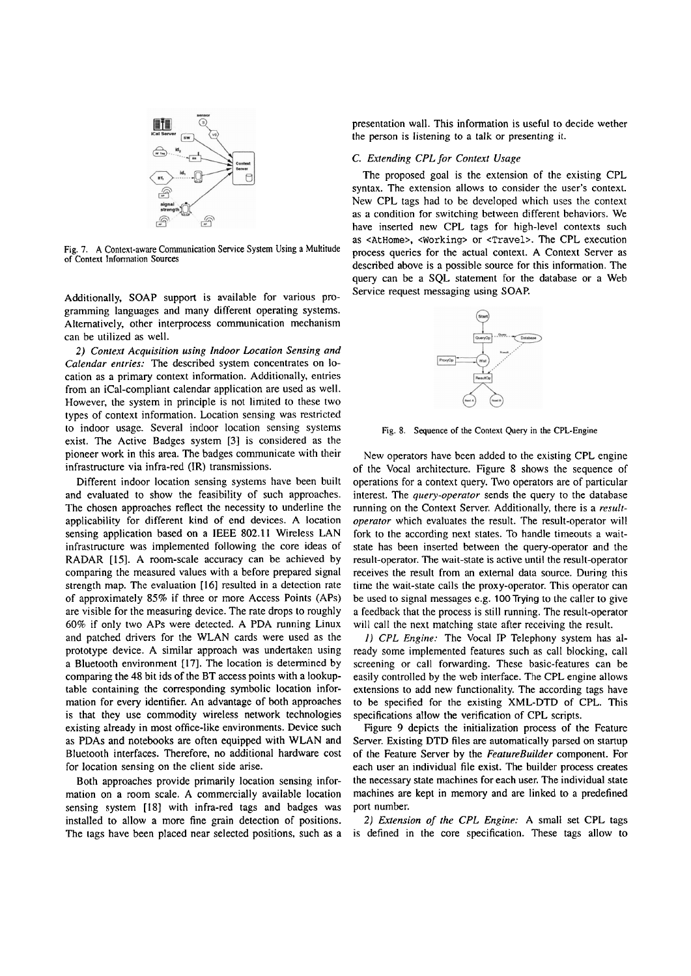

**Fig. 7. A Coniexi-aware Communication Service System Using a Multitude of Context Informaiion Sources** 

Additionally, SOAP support is available for various programming languages and many different operating systems. Alternatively, other interprocess communication mechanism can be utilized as well.

*2) Context Acquisition using lndoor Location Sensing und Calendar entries:* The described system concentrates on 10 cation as a primary context information. Additionally. entries from an iCal-compliant calendar application are used as well. However, the system in principle is not limited to these two types of context information. Location sensing was restricted to indoor usage. Several indoor location sensing systems exist. The Active Badges system [3] is considered as the pioneer work in this area. The badges comrnunicate with their infrastmcture via infra-red (IR) transrnissions.

Different indoor location sensing systems have been built and evaluated to show the feasibility of such approaches. The chosen approaches reflect the necessity to underline the applicability for different kind of end devices. A location sensing application based on a **lEEE** 802.11 Wireless LAN infrastmcture was implemented following the core ideas of RADAR [15]. A room-scale accuracy can be achieved by comparing the measured values with a before prepared signal strength map. The evaluation [16] resulted in a detection rate of approximately 85% if three or more Access Points (APs) are visible for the measuring device. The rate drops to roughly 60% if only two APs were detected. A PDA mnning Linux and patched drivers for the WLAN cards were used as the prototype device. A similar approach was undertaken using a Bluetooth environment [17]. The location is determined by comparing the 48 bit ids of the BT access points with a lookuptable containing the corresponding symbolic location information for every identifier. An advantage of both approaches is that they use commodity wireless network technologies existing already in most office-like environments. Device such as PDAs and notebooks are often equipped with WLAN and Bluetooth interfaces. Therefore, no additional hardware cost for location sensing on the client side arise.

Both approaches provide primanly location sensing information on a room scale. **A** commercially available location sensing system [I81 with infra-red tags and badges was installed to allow a more fine grain detection of positions. The tags have been placed near selected positions, such as a

presentation wall. This information is useful to decide wether the person is listening to a talk or presenting it.

## C. *Exrending CPL for Context Usage*

The proposed goal is the extension of the existing CPL Syntax. The extension allows to consider the user's context. New CPL tags had to be developed which uses the context as a condition for switching between different behaviors. We have inserted new CPL tags for high-level contexts such as <AtHome>, **<Working>** or **<Travel>.** The CPL execution process queries for the actual context. A Context Server as described above is a possible source for this information. The query can be a SQL Statement for the database or a Web Service request messaging using SOAP.



**Fig. 8. Sequence of the Coniexi Query in the CPL-Engine** 

New operators have been added to the existing CPL engine of the Vocal architecture. Figure 8 shows the sequence of operations for a context query. Two operators are of particular interest. The *query-operator* sends the query to the database mnning on the Context Server. Additionally, there is a *result-Operator* which evaluates the result. The result-operator will fork to the according next states. To handle timeouts a waitstate has been inserted between the query-operator and the result-operator. The wait-state is active until the result-operator receives the result from an extemal data source. During this time the wait-state calls the proxy-operator. This operator can be used to signal messages e.g. **100Trying** to the caller to give a feedback that the process is still running. The result-operator will call the next matching state after receiving the result.

I) *CPL Engine:* The Vocal IP Telephony system has already some implemented features such as call blocking, call screening or call forwarding. These basic-features can be easily controlled by the web interface. The CPL engine allows extensions to add new functionality. The according tags have to be specified for the existing XML-DTD of CPL. This specifications allow the verification of CPL scripts.

Figure 9 depicts the initialization process of the Feature Server. Existing DTD files are automatically parsed on startup of the Feature Server by the *FeatureBuilder* component. For each user an individual file exist. The builder process creates the necessary state machines for each user. The individual state machines are kept in memory and are linked to a predefined port number.

2) *Extension of the CPL Engine:* A small set CPL tags is defined in the core specification. These tags allow to